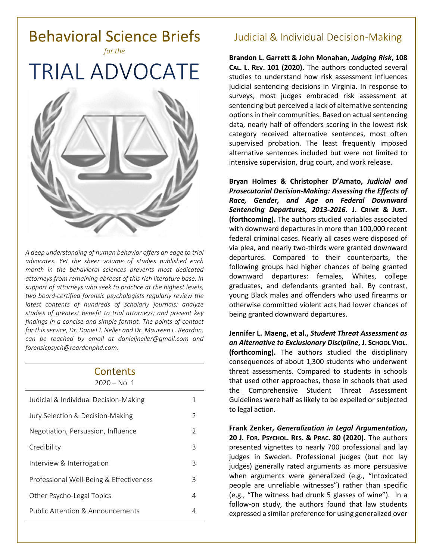

*A deep understanding of human behavior offers an edge to trial advocates. Yet the sheer volume of studies published each month in the behavioral sciences prevents most dedicated attorneys from remaining abreast of this rich literature base. In support of attorneys who seek to practice at the highest levels, two board-certified forensic psychologists regularly review the latest contents of hundreds of scholarly journals; analyze studies of greatest benefit to trial attorneys; and present key findings in a concise and simple format. The points-of-contact for this service, Dr. Daniel J. Neller and Dr. Maureen L. Reardon, can be reached by email at [danieljneller@gmail.com](mailto:danieljneller@gmail.com) and [forensicpsych@reardonphd.com.](mailto:forensicpsych@reardonphd.com)* 

| Contents<br>$2020 - No. 1$              |                |
|-----------------------------------------|----------------|
| Judicial & Individual Decision-Making   | 1              |
| Jury Selection & Decision-Making        | $\mathcal{P}$  |
| Negotiation, Persuasion, Influence      | $\mathfrak{D}$ |
| Credibility                             | 3              |
| Interview & Interrogation               | 3              |
| Professional Well-Being & Effectiveness | 3              |
| Other Psycho-Legal Topics               | 4              |
| Public Attention & Announcements        | 4              |

# **Judicial & Individual Decision-Making**

**Brandon L. Garrett & John Monahan,** *Judging Risk***, 108 CAL. L. REV. 101 (2020).** The authors conducted several studies to understand how risk assessment influences judicial sentencing decisions in Virginia. In response to surveys, most judges embraced risk assessment at sentencing but perceived a lack of alternative sentencing options in their communities. Based on actual sentencing data, nearly half of offenders scoring in the lowest risk category received alternative sentences, most often supervised probation. The least frequently imposed alternative sentences included but were not limited to intensive supervision, drug court, and work release.

**Bryan Holmes & Christopher D'Amato,** *Judicial and Prosecutorial Decision-Making: Assessing the Effects of Race, Gender, and Age on Federal Downward Sentencing Departures, 2013-2016***. J. CRIME & JUST. (forthcoming).** The authors studied variables associated with downward departures in more than 100,000 recent federal criminal cases. Nearly all cases were disposed of via plea, and nearly two-thirds were granted downward departures. Compared to their counterparts, the following groups had higher chances of being granted downward departures: females, Whites, college graduates, and defendants granted bail. By contrast, young Black males and offenders who used firearms or otherwise committed violent acts had lower chances of being granted downward departures.

**Jennifer L. Maeng, et al.,** *Student Threat Assessment as an Alternative to Exclusionary Discipline***, J. SCHOOL VIOL. (forthcoming).** The authors studied the disciplinary consequences of about 1,300 students who underwent threat assessments. Compared to students in schools that used other approaches, those in schools that used the Comprehensive Student Threat Assessment Guidelines were half as likely to be expelled or subjected to legal action.

**Frank Zenker,** *Generalization in Legal Argumentation***, 20 J. FOR. PSYCHOL. RES. & PRAC. 80 (2020).** The authors presented vignettes to nearly 700 professional and lay judges in Sweden. Professional judges (but not lay judges) generally rated arguments as more persuasive when arguments were generalized (e.g., "Intoxicated people are unreliable witnesses") rather than specific (e.g., "The witness had drunk 5 glasses of wine"). In a follow-on study, the authors found that law students expressed a similar preference for using generalized over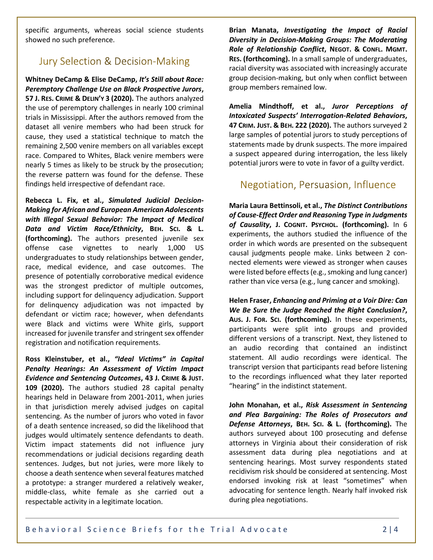specific arguments, whereas social science students showed no such preference.

## **Jury Selection & Decision-Making**

**Whitney DeCamp & Elise DeCamp,** *It's Still about Race: Peremptory Challenge Use on Black Prospective Jurors***, 57 J. RES. CRIME & DELIN'Y 3 (2020).** The authors analyzed the use of peremptory challenges in nearly 100 criminal trials in Mississippi. After the authors removed from the dataset all venire members who had been struck for cause, they used a statistical technique to match the remaining 2,500 venire members on all variables except race. Compared to Whites, Black venire members were nearly 5 times as likely to be struck by the prosecution; the reverse pattern was found for the defense. These findings held irrespective of defendant race.

**Rebecca L. Fix, et al.,** *Simulated Judicial Decision-Making for African and European American Adolescents with Illegal Sexual Behavior: The Impact of Medical Data and Victim Race/Ethnicity***, BEH. SCI. & L. (forthcoming).** The authors presented juvenile sex offense case vignettes to nearly 1,000 US undergraduates to study relationships between gender, race, medical evidence, and case outcomes. The presence of potentially corroborative medical evidence was the strongest predictor of multiple outcomes, including support for delinquency adjudication. Support for delinquency adjudication was not impacted by defendant or victim race; however, when defendants were Black and victims were White girls, support increased for juvenile transfer and stringent sex offender registration and notification requirements.

**Ross Kleinstuber, et al.,** *"Ideal Victims" in Capital Penalty Hearings: An Assessment of Victim Impact Evidence and Sentencing Outcomes***, 43 J. CRIME & JUST. 109 (2020).** The authors studied 28 capital penalty hearings held in Delaware from 2001-2011, when juries in that jurisdiction merely advised judges on capital sentencing. As the number of jurors who voted in favor of a death sentence increased, so did the likelihood that judges would ultimately sentence defendants to death. Victim impact statements did not influence jury recommendations or judicial decisions regarding death sentences. Judges, but not juries, were more likely to choose a death sentence when several features matched a prototype: a stranger murdered a relatively weaker, middle-class, white female as she carried out a respectable activity in a legitimate location.

**Brian Manata,** *Investigating the Impact of Racial Diversity in Decision-Making Groups: The Moderating Role of Relationship Conflict***, NEGOT. & CONFL. MGMT. RES. (forthcoming).** In a small sample of undergraduates, racial diversity was associated with increasingly accurate group decision-making, but only when conflict between group members remained low.

**Amelia Mindthoff, et al.,** *Juror Perceptions of Intoxicated Suspects' Interrogation-Related Behaviors***, 47 CRIM. JUST. & BEH. 222 (2020).** The authors surveyed 2 large samples of potential jurors to study perceptions of statements made by drunk suspects. The more impaired a suspect appeared during interrogation, the less likely potential jurors were to vote in favor of a guilty verdict.

#### Negotiation, Persuasion, Influence

**Maria Laura Bettinsoli, et al.,** *The Distinct Contributions of Cause-Effect Order and Reasoning Type in Judgments of Causality***, J. COGNIT. PSYCHOL. (forthcoming).** In 6 experiments, the authors studied the influence of the order in which words are presented on the subsequent causal judgments people make. Links between 2 connected elements were viewed as stronger when causes were listed before effects (e.g., smoking and lung cancer) rather than vice versa (e.g., lung cancer and smoking).

**Helen Fraser,** *Enhancing and Priming at a Voir Dire: Can We Be Sure the Judge Reached the Right Conclusion?***, AUS. J. FOR. SCI. (forthcoming).** In these experiments, participants were split into groups and provided different versions of a transcript. Next, they listened to an audio recording that contained an indistinct statement. All audio recordings were identical. The transcript version that participants read before listening to the recordings influenced what they later reported "hearing" in the indistinct statement.

**John Monahan, et al.,** *Risk Assessment in Sentencing and Plea Bargaining: The Roles of Prosecutors and Defense Attorneys***, BEH. SCI. & L. (forthcoming).** The authors surveyed about 100 prosecuting and defense attorneys in Virginia about their consideration of risk assessment data during plea negotiations and at sentencing hearings. Most survey respondents stated recidivism risk should be considered at sentencing. Most endorsed invoking risk at least "sometimes" when advocating for sentence length. Nearly half invoked risk during plea negotiations.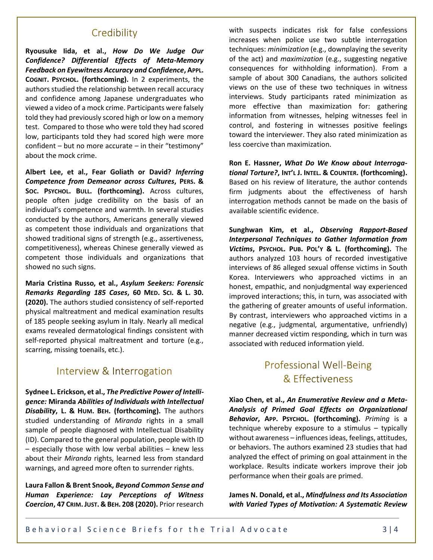#### Credibility

**Ryousuke Iida, et al.,** *How Do We Judge Our Confidence? Differential Effects of Meta-Memory Feedback on Eyewitness Accuracy and Confidence***, APPL. COGNIT. PSYCHOL. (forthcoming).** In 2 experiments, the authors studied the relationship between recall accuracy and confidence among Japanese undergraduates who viewed a video of a mock crime. Participants were falsely told they had previously scored high or low on a memory test. Compared to those who were told they had scored low, participants told they had scored high were more confident – but no more accurate – in their "testimony" about the mock crime.

**Albert Lee, et al., Fear Goliath or David?** *Inferring Competence from Demeanor across Cultures***, PERS. & SOC. PSYCHOL. BULL. (forthcoming).** Across cultures, people often judge credibility on the basis of an individual's competence and warmth. In several studies conducted by the authors, Americans generally viewed as competent those individuals and organizations that showed traditional signs of strength (e.g., assertiveness, competitiveness), whereas Chinese generally viewed as competent those individuals and organizations that showed no such signs.

**Maria Cristina Russo, et al.,** *Asylum Seekers: Forensic Remarks Regarding 185 Cases***, 60 MED. SCI. & L. 30. (2020).** The authors studied consistency of self-reported physical maltreatment and medical examination results of 185 people seeking asylum in Italy. Nearly all medical exams revealed dermatological findings consistent with self-reported physical maltreatment and torture (e.g., scarring, missing toenails, etc.).

## Interview & Interrogation

**Sydnee L. Erickson, et al.,** *The Predictive Power of Intelligence:* **Miranda** *Abilities of Individuals with Intellectual Disability***, L. & HUM. BEH. (forthcoming).** The authors studied understanding of *Miranda* rights in a small sample of people diagnosed with Intellectual Disability (ID). Compared to the general population, people with ID – especially those with low verbal abilities – knew less about their *Miranda* rights, learned less from standard warnings, and agreed more often to surrender rights.

**Laura Fallon & Brent Snook,** *Beyond Common Sense and Human Experience: Lay Perceptions of Witness Coercion***, 47 CRIM.JUST. & BEH. 208 (2020).** Prior research with suspects indicates risk for false confessions increases when police use two subtle interrogation techniques: *minimization* (e.g., downplaying the severity of the act) and *maximization* (e.g., suggesting negative consequences for withholding information). From a sample of about 300 Canadians, the authors solicited views on the use of these two techniques in witness interviews. Study participants rated minimization as more effective than maximization for: gathering information from witnesses, helping witnesses feel in control, and fostering in witnesses positive feelings toward the interviewer. They also rated minimization as less coercive than maximization.

**Ron E. Hassner,** *What Do We Know about Interrogational Torture?***, INT'L J. INTEL. & COUNTER. (forthcoming).** Based on his review of literature, the author contends firm judgments about the effectiveness of harsh interrogation methods cannot be made on the basis of available scientific evidence.

**Sunghwan Kim, et al.,** *Observing Rapport-Based Interpersonal Techniques to Gather Information from Victims***, PSYCHOL. PUB. POL'Y & L. (forthcoming).** The authors analyzed 103 hours of recorded investigative interviews of 86 alleged sexual offense victims in South Korea. Interviewers who approached victims in an honest, empathic, and nonjudgmental way experienced improved interactions; this, in turn, was associated with the gathering of greater amounts of useful information. By contrast, interviewers who approached victims in a negative (e.g., judgmental, argumentative, unfriendly) manner decreased victim responding, which in turn was associated with reduced information yield.

# **Professional Well-Being** & Effectiveness

**Xiao Chen, et al.,** *An Enumerative Review and a Meta-Analysis of Primed Goal Effects on Organizational Behavior***, APP. PSYCHOL. (forthcoming).** *Priming* is a technique whereby exposure to a stimulus – typically without awareness – influences ideas, feelings, attitudes, or behaviors. The authors examined 23 studies that had analyzed the effect of priming on goal attainment in the workplace. Results indicate workers improve their job performance when their goals are primed.

**James N. Donald, et al.,** *Mindfulness and Its Association with Varied Types of Motivation: A Systematic Review*